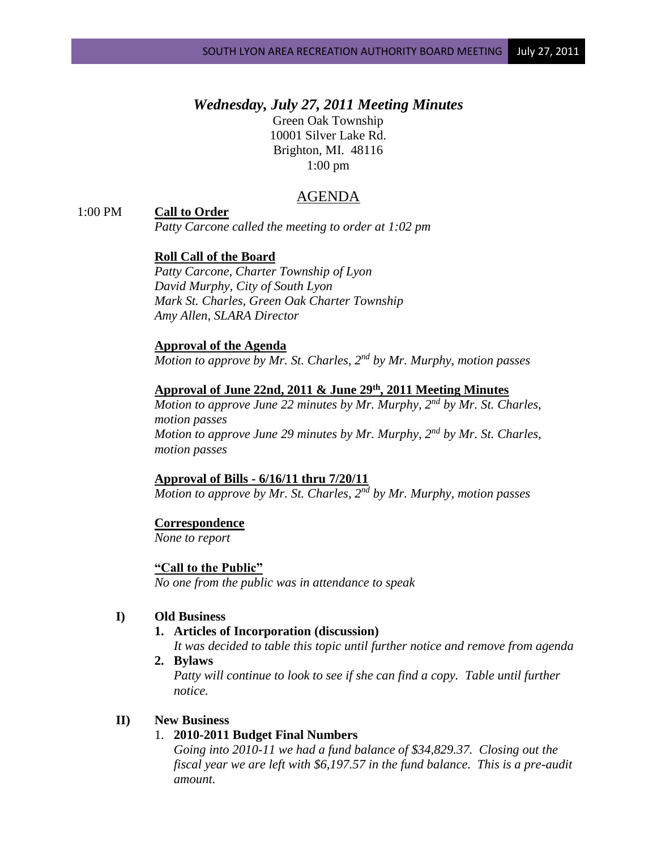# *Wednesday, July 27, 2011 Meeting Minutes*

Green Oak Township 10001 Silver Lake Rd. Brighton, MI. 48116 1:00 pm

## AGENDA

### 1:00 PM **Call to Order**

*Patty Carcone called the meeting to order at 1:02 pm*

### **Roll Call of the Board**

*Patty Carcone, Charter Township of Lyon David Murphy, City of South Lyon Mark St. Charles, Green Oak Charter Township Amy Allen, SLARA Director*

#### **Approval of the Agenda**

*Motion to approve by Mr. St. Charles, 2nd by Mr. Murphy, motion passes*

### **Approval of June 22nd, 2011 & June 29th , 2011 Meeting Minutes**

*Motion to approve June 22 minutes by Mr. Murphy, 2nd by Mr. St. Charles, motion passes Motion to approve June 29 minutes by Mr. Murphy, 2nd by Mr. St. Charles, motion passes*

#### **Approval of Bills - 6/16/11 thru 7/20/11**

*Motion to approve by Mr. St. Charles, 2nd by Mr. Murphy, motion passes*

#### **Correspondence**

*None to report*

### **"Call to the Public"** *No one from the public was in attendance to speak*

### **I) Old Business**

#### **1. Articles of Incorporation (discussion)**

*It was decided to table this topic until further notice and remove from agenda*

**2. Bylaws**

*Patty will continue to look to see if she can find a copy. Table until further notice.*

### **II) New Business**

## 1. **2010-2011 Budget Final Numbers**

*Going into 2010-11 we had a fund balance of \$34,829.37. Closing out the fiscal year we are left with \$6,197.57 in the fund balance. This is a pre-audit amount.*